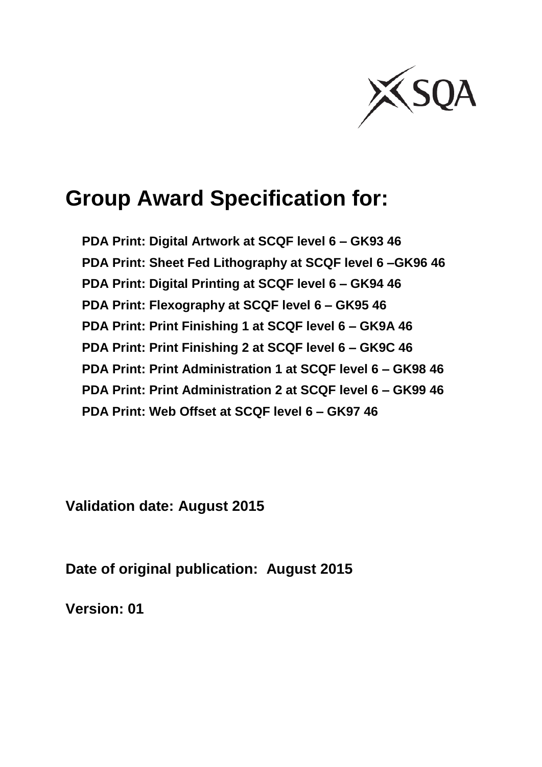

# **Group Award Specification for:**

**PDA Print: Digital Artwork at SCQF level 6 – GK93 46 PDA Print: Sheet Fed Lithography at SCQF level 6 –GK96 46 PDA Print: Digital Printing at SCQF level 6 – GK94 46 PDA Print: Flexography at SCQF level 6 – GK95 46 PDA Print: Print Finishing 1 at SCQF level 6 – GK9A 46 PDA Print: Print Finishing 2 at SCQF level 6 – GK9C 46 PDA Print: Print Administration 1 at SCQF level 6 – GK98 46 PDA Print: Print Administration 2 at SCQF level 6 – GK99 46 PDA Print: Web Offset at SCQF level 6 – GK97 46**

**Validation date: August 2015**

**Date of original publication: August 2015**

**Version: 01**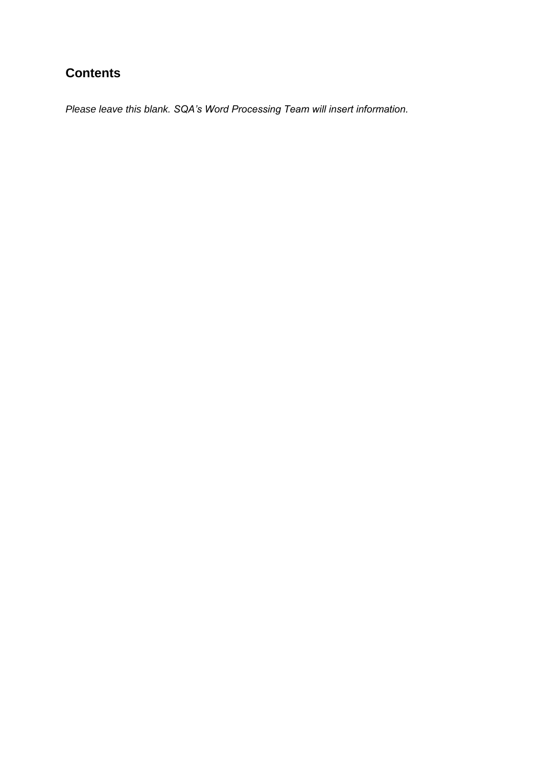## **Contents**

*Please leave this blank. SQA's Word Processing Team will insert information.*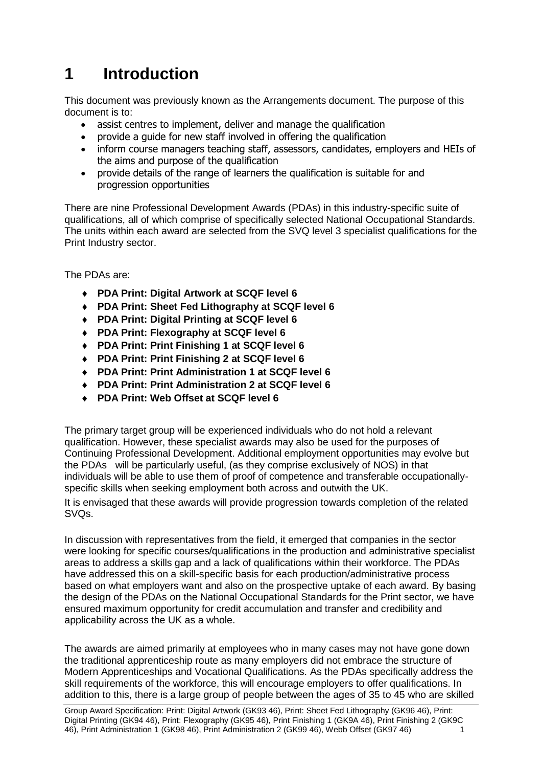# **1 Introduction**

This document was previously known as the Arrangements document. The purpose of this document is to:

- assist centres to implement, deliver and manage the qualification
- provide a guide for new staff involved in offering the qualification
- inform course managers teaching staff, assessors, candidates, employers and HEIs of the aims and purpose of the qualification
- provide details of the range of learners the qualification is suitable for and progression opportunities

There are nine Professional Development Awards (PDAs) in this industry-specific suite of qualifications, all of which comprise of specifically selected National Occupational Standards. The units within each award are selected from the SVQ level 3 specialist qualifications for the Print Industry sector.

The PDAs are:

- **PDA Print: Digital Artwork at SCQF level 6**
- **PDA Print: Sheet Fed Lithography at SCQF level 6**
- **PDA Print: Digital Printing at SCQF level 6**
- **PDA Print: Flexography at SCQF level 6**
- **PDA Print: Print Finishing 1 at SCQF level 6**
- **PDA Print: Print Finishing 2 at SCQF level 6**
- **PDA Print: Print Administration 1 at SCQF level 6**
- **PDA Print: Print Administration 2 at SCQF level 6**
- **PDA Print: Web Offset at SCQF level 6**

The primary target group will be experienced individuals who do not hold a relevant qualification. However, these specialist awards may also be used for the purposes of Continuing Professional Development. Additional employment opportunities may evolve but the PDAs will be particularly useful, (as they comprise exclusively of NOS) in that individuals will be able to use them of proof of competence and transferable occupationallyspecific skills when seeking employment both across and outwith the UK.

It is envisaged that these awards will provide progression towards completion of the related SVQs.

In discussion with representatives from the field, it emerged that companies in the sector were looking for specific courses/qualifications in the production and administrative specialist areas to address a skills gap and a lack of qualifications within their workforce. The PDAs have addressed this on a skill-specific basis for each production/administrative process based on what employers want and also on the prospective uptake of each award. By basing the design of the PDAs on the National Occupational Standards for the Print sector, we have ensured maximum opportunity for credit accumulation and transfer and credibility and applicability across the UK as a whole.

The awards are aimed primarily at employees who in many cases may not have gone down the traditional apprenticeship route as many employers did not embrace the structure of Modern Apprenticeships and Vocational Qualifications. As the PDAs specifically address the skill requirements of the workforce, this will encourage employers to offer qualifications. In addition to this, there is a large group of people between the ages of 35 to 45 who are skilled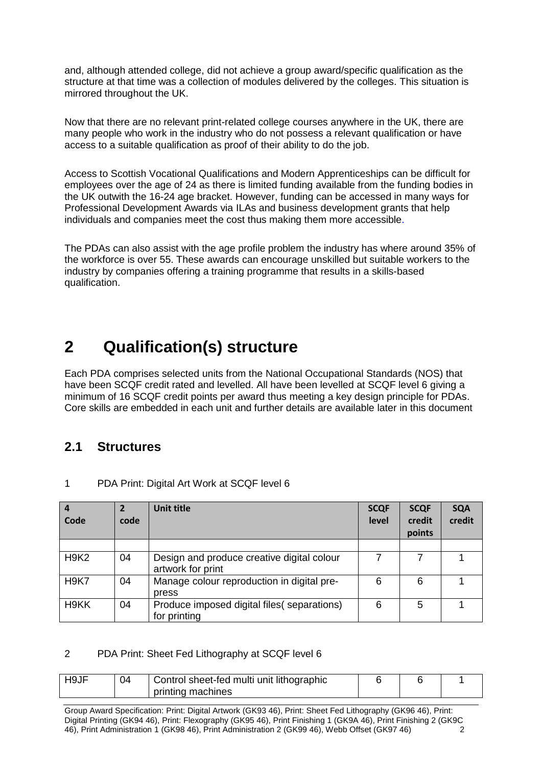and, although attended college, did not achieve a group award/specific qualification as the structure at that time was a collection of modules delivered by the colleges. This situation is mirrored throughout the UK.

Now that there are no relevant print-related college courses anywhere in the UK, there are many people who work in the industry who do not possess a relevant qualification or have access to a suitable qualification as proof of their ability to do the job.

Access to Scottish Vocational Qualifications and Modern Apprenticeships can be difficult for employees over the age of 24 as there is limited funding available from the funding bodies in the UK outwith the 16-24 age bracket. However, funding can be accessed in many ways for Professional Development Awards via ILAs and business development grants that help individuals and companies meet the cost thus making them more accessible.

The PDAs can also assist with the age profile problem the industry has where around 35% of the workforce is over 55. These awards can encourage unskilled but suitable workers to the industry by companies offering a training programme that results in a skills-based qualification.

## **2 Qualification(s) structure**

Each PDA comprises selected units from the National Occupational Standards (NOS) that have been SCQF credit rated and levelled. All have been levelled at SCQF level 6 giving a minimum of 16 SCQF credit points per award thus meeting a key design principle for PDAs. Core skills are embedded in each unit and further details are available later in this document

### **2.1 Structures**

| $\overline{a}$<br>Code | code | Unit title                                                      | <b>SCQF</b><br>level | <b>SCQF</b><br>credit<br>points | <b>SQA</b><br>credit |
|------------------------|------|-----------------------------------------------------------------|----------------------|---------------------------------|----------------------|
|                        |      |                                                                 |                      |                                 |                      |
| <b>H9K2</b>            | 04   | Design and produce creative digital colour<br>artwork for print |                      |                                 |                      |
| <b>H9K7</b>            | 04   | Manage colour reproduction in digital pre-<br>press             | 6                    | 6                               |                      |
| H <sub>9</sub> KK      | 04   | Produce imposed digital files (separations)<br>for printing     | 6                    | 5                               |                      |

1 PDA Print: Digital Art Work at SCQF level 6

#### 2 PDA Print: Sheet Fed Lithography at SCQF level 6

| H <sub>9</sub> JF | Control sheet-fed multi unit lithographic<br>04 |                   |  |  |
|-------------------|-------------------------------------------------|-------------------|--|--|
|                   |                                                 | printing machines |  |  |

Group Award Specification: Print: Digital Artwork (GK93 46), Print: Sheet Fed Lithography (GK96 46), Print: Digital Printing (GK94 46), Print: Flexography (GK95 46), Print Finishing 1 (GK9A 46), Print Finishing 2 (GK9C 46), Print Administration 1 (GK98 46), Print Administration 2 (GK99 46), Webb Offset (GK97 46) 2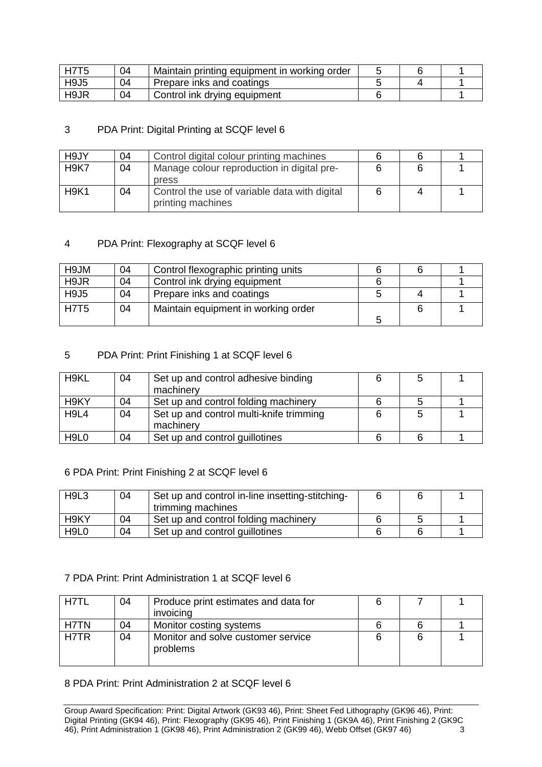| <b>H7T5</b>                   | 04 | Maintain printing equipment in working order |  |  |
|-------------------------------|----|----------------------------------------------|--|--|
| H <sub>9</sub> J <sub>5</sub> | 04 | Prepare inks and coatings                    |  |  |
| H9JR                          | 04 | Control ink drying equipment                 |  |  |

#### 3 PDA Print: Digital Printing at SCQF level 6

| H9JY        | 04 | Control digital colour printing machines                           |  |  |
|-------------|----|--------------------------------------------------------------------|--|--|
| <b>H9K7</b> | 04 | Manage colour reproduction in digital pre-<br>press                |  |  |
| <b>H9K1</b> | 04 | Control the use of variable data with digital<br>printing machines |  |  |

#### 4 PDA Print: Flexography at SCQF level 6

| H9JM        | 04 | Control flexographic printing units |  |  |
|-------------|----|-------------------------------------|--|--|
| H9JR        | 04 | Control ink drying equipment        |  |  |
| <b>H9J5</b> | 04 | Prepare inks and coatings           |  |  |
| <b>H7T5</b> | 04 | Maintain equipment in working order |  |  |
|             |    |                                     |  |  |

#### 5 PDA Print: Print Finishing 1 at SCQF level 6

| H <sub>9</sub> KL             | 04 | Set up and control adhesive binding<br>machinery     | 5 |  |
|-------------------------------|----|------------------------------------------------------|---|--|
| H <sub>9</sub> KY             | 04 | Set up and control folding machinery                 | 5 |  |
| H <sub>9L4</sub>              | 04 | Set up and control multi-knife trimming<br>machinery | 5 |  |
| H <sub>9</sub> L <sub>0</sub> | 04 | Set up and control guillotines                       |   |  |

#### 6 PDA Print: Print Finishing 2 at SCQF level 6

| H <sub>9</sub> L <sub>3</sub> | 04 | Set up and control in-line insetting-stitching-<br>trimming machines |  |  |
|-------------------------------|----|----------------------------------------------------------------------|--|--|
| H9KY                          | 04 | Set up and control folding machinery                                 |  |  |
| H <sub>9L0</sub>              | 04 | Set up and control guillotines                                       |  |  |

#### 7 PDA Print: Print Administration 1 at SCQF level 6

| H7TI | 04 | Produce print estimates and data for           |  |  |
|------|----|------------------------------------------------|--|--|
|      |    | invoicing                                      |  |  |
| H7TN | 04 | Monitor costing systems                        |  |  |
| H7TR | 04 | Monitor and solve customer service<br>problems |  |  |

#### 8 PDA Print: Print Administration 2 at SCQF level 6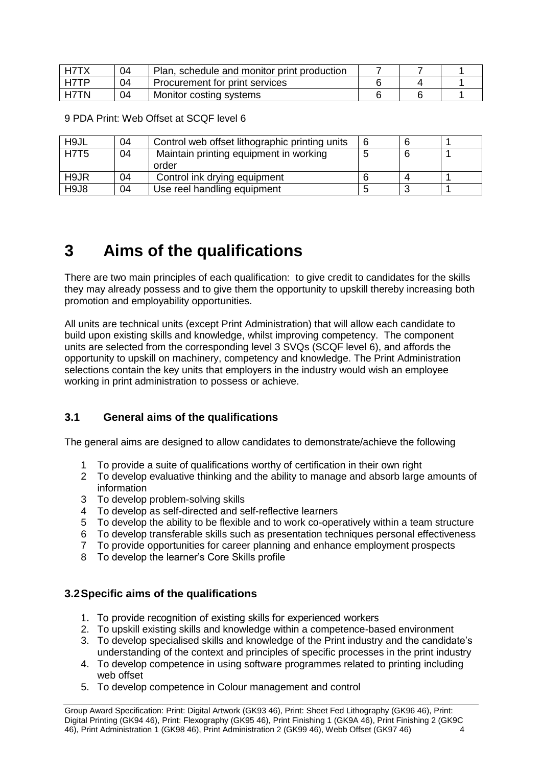| H7TX | 04 | Plan, schedule and monitor print production |  |  |
|------|----|---------------------------------------------|--|--|
| H7TP |    | Procurement for print services              |  |  |
| H7TN | 04 | Monitor costing systems                     |  |  |

9 PDA Print: Web Offset at SCQF level 6

| H <sub>9</sub> JL | 04 | Control web offset lithographic printing units  | 6 |  |
|-------------------|----|-------------------------------------------------|---|--|
| <b>H7T5</b>       | 04 | Maintain printing equipment in working<br>order |   |  |
| H9JR              | 04 | Control ink drying equipment                    |   |  |
| H9J8              | 04 | Use reel handling equipment                     |   |  |

## **3 Aims of the qualifications**

There are two main principles of each qualification: to give credit to candidates for the skills they may already possess and to give them the opportunity to upskill thereby increasing both promotion and employability opportunities.

All units are technical units (except Print Administration) that will allow each candidate to build upon existing skills and knowledge, whilst improving competency. The component units are selected from the corresponding level 3 SVQs (SCQF level 6), and affords the opportunity to upskill on machinery, competency and knowledge. The Print Administration selections contain the key units that employers in the industry would wish an employee working in print administration to possess or achieve.

#### **3.1 General aims of the qualifications**

The general aims are designed to allow candidates to demonstrate/achieve the following

- 1 To provide a suite of qualifications worthy of certification in their own right
- 2 To develop evaluative thinking and the ability to manage and absorb large amounts of information
- 3 To develop problem-solving skills
- 4 To develop as self-directed and self-reflective learners
- 5 To develop the ability to be flexible and to work co-operatively within a team structure
- 6 To develop transferable skills such as presentation techniques personal effectiveness
- 7 To provide opportunities for career planning and enhance employment prospects
- 8 To develop the learner's Core Skills profile

#### **3.2Specific aims of the qualifications**

- 1. To provide recognition of existing skills for experienced workers
- 2. To upskill existing skills and knowledge within a competence-based environment
- 3. To develop specialised skills and knowledge of the Print industry and the candidate's understanding of the context and principles of specific processes in the print industry
- 4. To develop competence in using software programmes related to printing including web offset
- 5. To develop competence in Colour management and control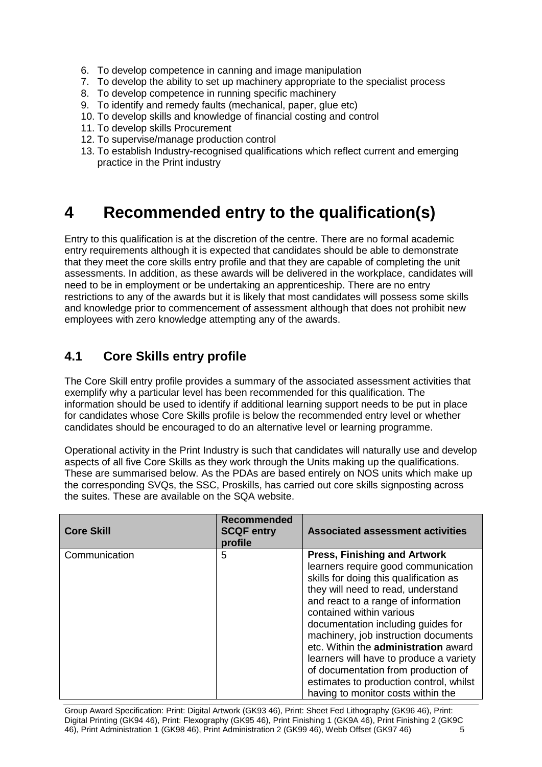- 6. To develop competence in canning and image manipulation
- 7. To develop the ability to set up machinery appropriate to the specialist process
- 8. To develop competence in running specific machinery
- 9. To identify and remedy faults (mechanical, paper, glue etc)
- 10. To develop skills and knowledge of financial costing and control
- 11. To develop skills Procurement
- 12. To supervise/manage production control
- 13. To establish Industry-recognised qualifications which reflect current and emerging practice in the Print industry

## **4 Recommended entry to the qualification(s)**

Entry to this qualification is at the discretion of the centre. There are no formal academic entry requirements although it is expected that candidates should be able to demonstrate that they meet the core skills entry profile and that they are capable of completing the unit assessments. In addition, as these awards will be delivered in the workplace, candidates will need to be in employment or be undertaking an apprenticeship. There are no entry restrictions to any of the awards but it is likely that most candidates will possess some skills and knowledge prior to commencement of assessment although that does not prohibit new employees with zero knowledge attempting any of the awards.

### **4.1 Core Skills entry profile**

The Core Skill entry profile provides a summary of the associated assessment activities that exemplify why a particular level has been recommended for this qualification. The information should be used to identify if additional learning support needs to be put in place for candidates whose Core Skills profile is below the recommended entry level or whether candidates should be encouraged to do an alternative level or learning programme.

Operational activity in the Print Industry is such that candidates will naturally use and develop aspects of all five Core Skills as they work through the Units making up the qualifications. These are summarised below. As the PDAs are based entirely on NOS units which make up the corresponding SVQs, the SSC, Proskills, has carried out core skills signposting across the suites. These are available on the SQA website.

| <b>Core Skill</b> | <b>Recommended</b><br><b>SCQF entry</b><br>profile | <b>Associated assessment activities</b>                                                                                                                                                                                                                                                                                                                                                                                                                                                                                |
|-------------------|----------------------------------------------------|------------------------------------------------------------------------------------------------------------------------------------------------------------------------------------------------------------------------------------------------------------------------------------------------------------------------------------------------------------------------------------------------------------------------------------------------------------------------------------------------------------------------|
| Communication     | 5                                                  | <b>Press, Finishing and Artwork</b><br>learners require good communication<br>skills for doing this qualification as<br>they will need to read, understand<br>and react to a range of information<br>contained within various<br>documentation including guides for<br>machinery, job instruction documents<br>etc. Within the administration award<br>learners will have to produce a variety<br>of documentation from production of<br>estimates to production control, whilst<br>having to monitor costs within the |

Group Award Specification: Print: Digital Artwork (GK93 46), Print: Sheet Fed Lithography (GK96 46), Print: Digital Printing (GK94 46), Print: Flexography (GK95 46), Print Finishing 1 (GK9A 46), Print Finishing 2 (GK9C 46), Print Administration 1 (GK98 46), Print Administration 2 (GK99 46), Webb Offset (GK97 46) 5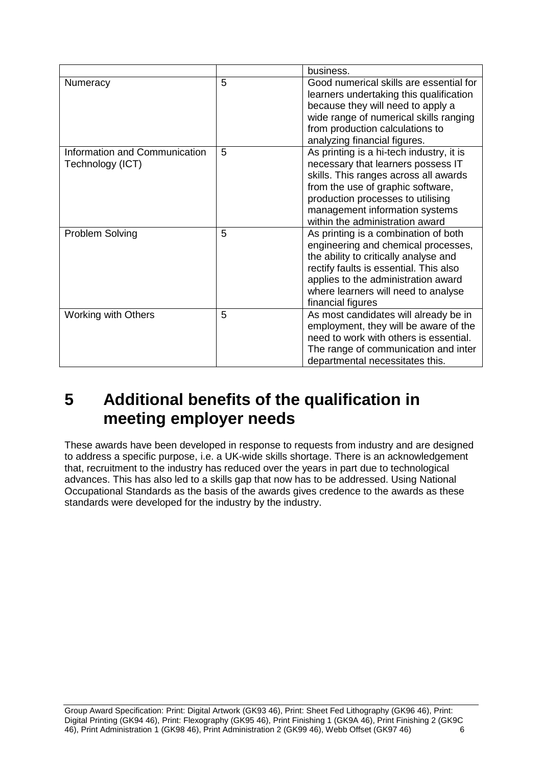|                                                   |   | business.                                                                                                                                                                                                                                                              |
|---------------------------------------------------|---|------------------------------------------------------------------------------------------------------------------------------------------------------------------------------------------------------------------------------------------------------------------------|
| Numeracy                                          | 5 | Good numerical skills are essential for<br>learners undertaking this qualification<br>because they will need to apply a<br>wide range of numerical skills ranging<br>from production calculations to<br>analyzing financial figures.                                   |
| Information and Communication<br>Technology (ICT) | 5 | As printing is a hi-tech industry, it is<br>necessary that learners possess IT<br>skills. This ranges across all awards<br>from the use of graphic software,<br>production processes to utilising<br>management information systems<br>within the administration award |
| <b>Problem Solving</b>                            | 5 | As printing is a combination of both<br>engineering and chemical processes,<br>the ability to critically analyse and<br>rectify faults is essential. This also<br>applies to the administration award<br>where learners will need to analyse<br>financial figures      |
| <b>Working with Others</b>                        | 5 | As most candidates will already be in<br>employment, they will be aware of the<br>need to work with others is essential.<br>The range of communication and inter<br>departmental necessitates this.                                                                    |

## **5 Additional benefits of the qualification in meeting employer needs**

These awards have been developed in response to requests from industry and are designed to address a specific purpose, i.e. a UK-wide skills shortage. There is an acknowledgement that, recruitment to the industry has reduced over the years in part due to technological advances. This has also led to a skills gap that now has to be addressed. Using National Occupational Standards as the basis of the awards gives credence to the awards as these standards were developed for the industry by the industry.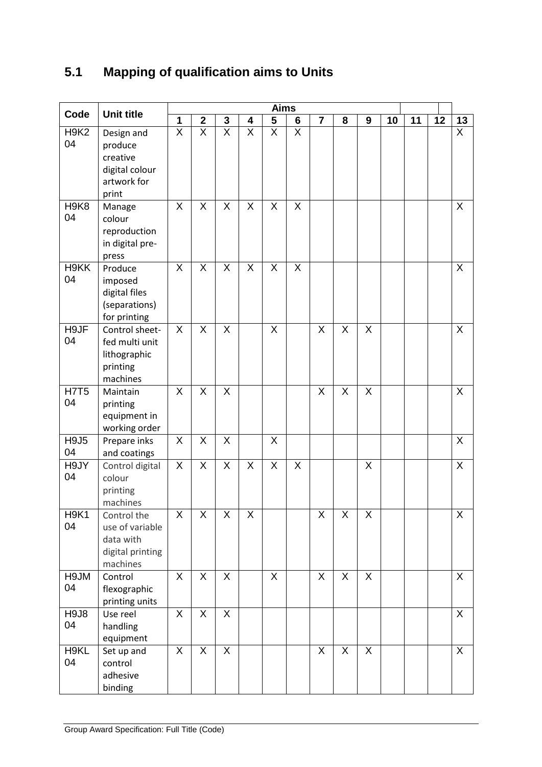## **5.1 Mapping of qualification aims to Units**

| Code                                | <b>Unit title</b>                                                           | <b>Aims</b>               |                         |                         |                         |                         |                |                         |                         |                         |    |    |    |                |
|-------------------------------------|-----------------------------------------------------------------------------|---------------------------|-------------------------|-------------------------|-------------------------|-------------------------|----------------|-------------------------|-------------------------|-------------------------|----|----|----|----------------|
|                                     |                                                                             | 1                         | $\mathbf 2$             | $\mathbf 3$             | $\overline{\mathbf{4}}$ | $\overline{\mathbf{5}}$ | $6\phantom{1}$ | $\overline{7}$          | 8                       | 9                       | 10 | 11 | 12 | 13             |
| H <sub>9</sub> K <sub>2</sub><br>04 | Design and<br>produce<br>creative<br>digital colour<br>artwork for<br>print | $\overline{\mathsf{x}}$   | $\overline{\mathsf{X}}$ | $\overline{\mathsf{x}}$ | $\overline{X}$          | $\overline{X}$          | $\overline{X}$ |                         |                         |                         |    |    |    | $\overline{X}$ |
| H <sub>9</sub> K <sub>8</sub><br>04 | Manage<br>colour<br>reproduction<br>in digital pre-<br>press                | X                         | X                       | X                       | X                       | X                       | X              |                         |                         |                         |    |    |    | X              |
| H9KK<br>04                          | Produce<br>imposed<br>digital files<br>(separations)<br>for printing        | $\sf X$                   | X                       | X                       | X                       | X                       | $\sf X$        |                         |                         |                         |    |    |    | X              |
| H9JF<br>04                          | Control sheet-<br>fed multi unit<br>lithographic<br>printing<br>machines    | $\overline{\mathsf{x}}$   | $\overline{X}$          | $\overline{X}$          |                         | $\overline{\mathsf{x}}$ |                | $\overline{\mathsf{x}}$ | $\overline{\mathsf{x}}$ | $\overline{\mathsf{X}}$ |    |    |    | $\overline{X}$ |
| <b>H7T5</b><br>04                   | Maintain<br>printing<br>equipment in<br>working order                       | $\overline{\mathsf{x}}$   | X                       | X                       |                         |                         |                | X                       | $\overline{X}$          | $\sf X$                 |    |    |    | $\times$       |
| <b>H9J5</b><br>04                   | Prepare inks<br>and coatings                                                | X                         | Χ                       | X                       |                         | X                       |                |                         |                         |                         |    |    |    | X              |
| H9JY<br>04                          | Control digital<br>colour<br>printing<br>machines                           | $\boldsymbol{\mathsf{X}}$ | X                       | X                       | X                       | $\sf X$                 | $\sf X$        |                         |                         | X                       |    |    |    | $\times$       |
| <b>H9K1</b><br>04                   | Control the<br>use of variable<br>data with<br>digital printing<br>machines | X.                        | X                       | X                       | X                       |                         |                | X.                      | X                       | X                       |    |    |    | X              |
| H9JM<br>04                          | Control<br>flexographic<br>printing units                                   | X                         | X                       | X                       |                         | X                       |                | X                       | $\pmb{\mathsf{X}}$      | X                       |    |    |    | X              |
| <b>H9J8</b><br>04                   | Use reel<br>handling<br>equipment                                           | X                         | $\sf X$                 | X                       |                         |                         |                |                         |                         |                         |    |    |    | X              |
| H9KL<br>04                          | Set up and<br>control<br>adhesive<br>binding                                | $\mathsf{X}$              | X                       | $\overline{X}$          |                         |                         |                | $\mathsf{X}$            | $\mathsf{X}$            | X                       |    |    |    | X              |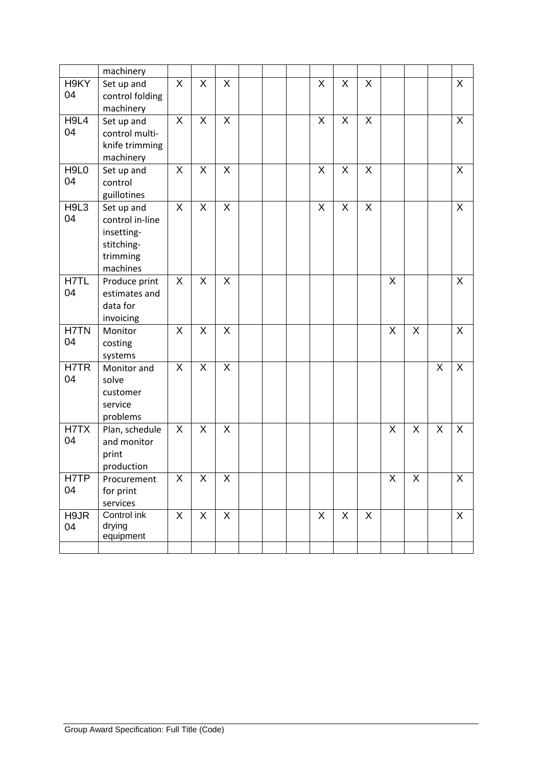|             | machinery       |                           |                |                |  |                |                    |   |   |   |         |          |
|-------------|-----------------|---------------------------|----------------|----------------|--|----------------|--------------------|---|---|---|---------|----------|
| H9KY        | Set up and      | X                         | $\mathsf X$    | X              |  | $\overline{X}$ | X                  | X |   |   |         | X        |
| 04          | control folding |                           |                |                |  |                |                    |   |   |   |         |          |
|             | machinery       |                           |                |                |  |                |                    |   |   |   |         |          |
| H9L4        | Set up and      | X                         | X              | X              |  | X              | X                  | X |   |   |         | X        |
| 04          | control multi-  |                           |                |                |  |                |                    |   |   |   |         |          |
|             | knife trimming  |                           |                |                |  |                |                    |   |   |   |         |          |
|             | machinery       |                           |                |                |  |                |                    |   |   |   |         |          |
| H9L0        | Set up and      | $\mathsf{X}$              | X              | X              |  | X              | X                  | X |   |   |         | X        |
| 04          | control         |                           |                |                |  |                |                    |   |   |   |         |          |
|             | guillotines     |                           |                |                |  |                |                    |   |   |   |         |          |
| H9L3        | Set up and      | X                         | $\mathsf X$    | X              |  | $\pmb{\times}$ | $\pmb{\mathsf{X}}$ | X |   |   |         | X        |
| 04          | control in-line |                           |                |                |  |                |                    |   |   |   |         |          |
|             | insetting-      |                           |                |                |  |                |                    |   |   |   |         |          |
|             | stitching-      |                           |                |                |  |                |                    |   |   |   |         |          |
|             | trimming        |                           |                |                |  |                |                    |   |   |   |         |          |
|             | machines        |                           |                |                |  |                |                    |   |   |   |         |          |
| H7TL        | Produce print   | $\boldsymbol{\mathsf{X}}$ | X              | X              |  |                |                    |   | X |   |         | X        |
| 04          | estimates and   |                           |                |                |  |                |                    |   |   |   |         |          |
|             | data for        |                           |                |                |  |                |                    |   |   |   |         |          |
|             | invoicing       |                           |                |                |  |                |                    |   |   |   |         |          |
| <b>H7TN</b> | Monitor         | $\overline{X}$            | X              | $\overline{X}$ |  |                |                    |   | X | X |         | X        |
| 04          | costing         |                           |                |                |  |                |                    |   |   |   |         |          |
|             | systems         |                           |                |                |  |                |                    |   |   |   |         |          |
| H7TR        | Monitor and     | $\sf X$                   | $\sf X$        | $\overline{X}$ |  |                |                    |   |   |   | X       | $\times$ |
| 04          | solve           |                           |                |                |  |                |                    |   |   |   |         |          |
|             | customer        |                           |                |                |  |                |                    |   |   |   |         |          |
|             | service         |                           |                |                |  |                |                    |   |   |   |         |          |
|             | problems        |                           |                |                |  |                |                    |   |   |   |         |          |
| H7TX        | Plan, schedule  | X                         | $\sf X$        | X              |  |                |                    |   | X | X | $\sf X$ | X        |
| 04          | and monitor     |                           |                |                |  |                |                    |   |   |   |         |          |
|             | print           |                           |                |                |  |                |                    |   |   |   |         |          |
|             | production      |                           |                |                |  |                |                    |   |   |   |         |          |
| H7TP        | Procurement     | X                         | X              | X              |  |                |                    |   | X | X |         | X        |
| 04          | for print       |                           |                |                |  |                |                    |   |   |   |         |          |
|             | services        |                           |                |                |  |                |                    |   |   |   |         |          |
| H9JR        | Control ink     | X                         | $\pmb{\times}$ | $\mathsf{X}$   |  | $\mathsf{X}$   | X                  | X |   |   |         | X        |
| 04          | drying          |                           |                |                |  |                |                    |   |   |   |         |          |
|             | equipment       |                           |                |                |  |                |                    |   |   |   |         |          |
|             |                 |                           |                |                |  |                |                    |   |   |   |         |          |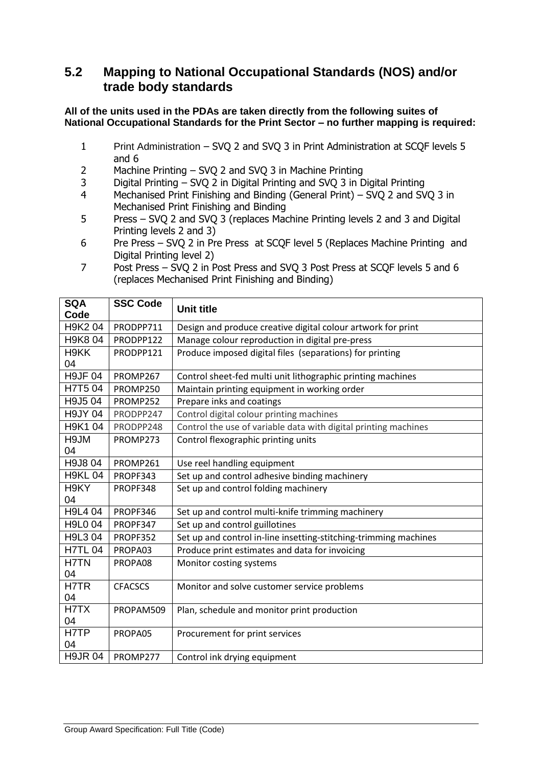### **5.2 Mapping to National Occupational Standards (NOS) and/or trade body standards**

#### **All of the units used in the PDAs are taken directly from the following suites of National Occupational Standards for the Print Sector – no further mapping is required:**

- 1 Print Administration SVQ 2 and SVQ 3 in Print Administration at SCQF levels 5 and 6
- 2 Machine Printing SVQ 2 and SVQ 3 in Machine Printing
- 3 Digital Printing SVQ 2 in Digital Printing and SVQ 3 in Digital Printing
- 4 Mechanised Print Finishing and Binding (General Print) SVQ 2 and SVQ 3 in Mechanised Print Finishing and Binding
- 5 Press SVQ 2 and SVQ 3 (replaces Machine Printing levels 2 and 3 and Digital Printing levels 2 and 3)
- 6 Pre Press SVQ 2 in Pre Press at SCQF level 5 (Replaces Machine Printing and Digital Printing level 2)
- 7 Post Press SVQ 2 in Post Press and SVQ 3 Post Press at SCQF levels 5 and 6 (replaces Mechanised Print Finishing and Binding)

| <b>SQA</b><br>Code | <b>SSC Code</b> | <b>Unit title</b>                                                |
|--------------------|-----------------|------------------------------------------------------------------|
| H9K2 04            | PRODPP711       | Design and produce creative digital colour artwork for print     |
| H9K8 04            | PRODPP122       | Manage colour reproduction in digital pre-press                  |
| H9KK<br>04         | PRODPP121       | Produce imposed digital files (separations) for printing         |
| <b>H9JF04</b>      | PROMP267        | Control sheet-fed multi unit lithographic printing machines      |
| H7T504             | PROMP250        | Maintain printing equipment in working order                     |
| H9J504             | PROMP252        | Prepare inks and coatings                                        |
| <b>H9JY 04</b>     | PRODPP247       | Control digital colour printing machines                         |
| H9K1 04            | PRODPP248       | Control the use of variable data with digital printing machines  |
| H9JM<br>04         | PROMP273        | Control flexographic printing units                              |
| H9J8 04            | PROMP261        | Use reel handling equipment                                      |
| <b>H9KL 04</b>     | PROPF343        | Set up and control adhesive binding machinery                    |
| H9KY<br>04         | PROPF348        | Set up and control folding machinery                             |
| H9L4 04            | PROPF346        | Set up and control multi-knife trimming machinery                |
| H9L0 04            | PROPF347        | Set up and control guillotines                                   |
| H9L3 04            | PROPF352        | Set up and control in-line insetting-stitching-trimming machines |
| <b>H7TL 04</b>     | PROPA03         | Produce print estimates and data for invoicing                   |
| H7TN<br>04         | PROPA08         | Monitor costing systems                                          |
| H7TR               | <b>CFACSCS</b>  | Monitor and solve customer service problems                      |
| 04                 |                 |                                                                  |
| H7TX               | PROPAM509       | Plan, schedule and monitor print production                      |
| 04                 |                 |                                                                  |
| H7TP<br>04         | PROPA05         | Procurement for print services                                   |
| <b>H9JR04</b>      | PROMP277        | Control ink drying equipment                                     |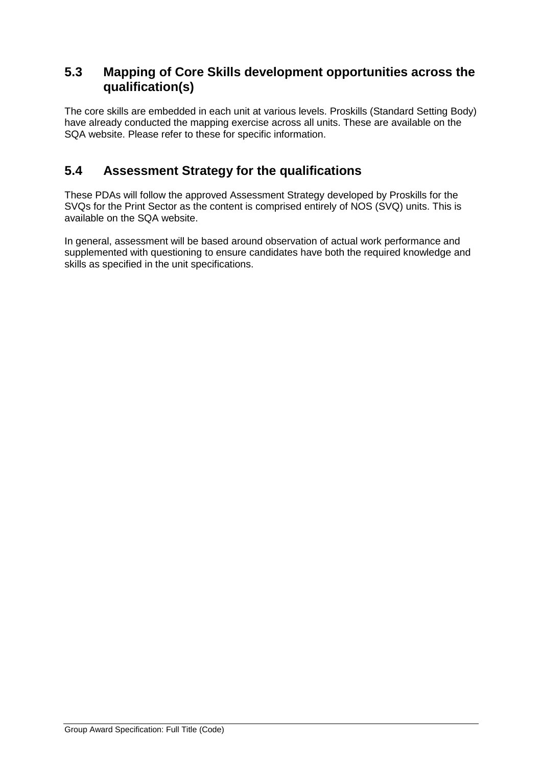### **5.3 Mapping of Core Skills development opportunities across the qualification(s)**

The core skills are embedded in each unit at various levels. Proskills (Standard Setting Body) have already conducted the mapping exercise across all units. These are available on the SQA website. Please refer to these for specific information.

### **5.4 Assessment Strategy for the qualifications**

These PDAs will follow the approved Assessment Strategy developed by Proskills for the SVQs for the Print Sector as the content is comprised entirely of NOS (SVQ) units. This is available on the SQA website.

In general, assessment will be based around observation of actual work performance and supplemented with questioning to ensure candidates have both the required knowledge and skills as specified in the unit specifications.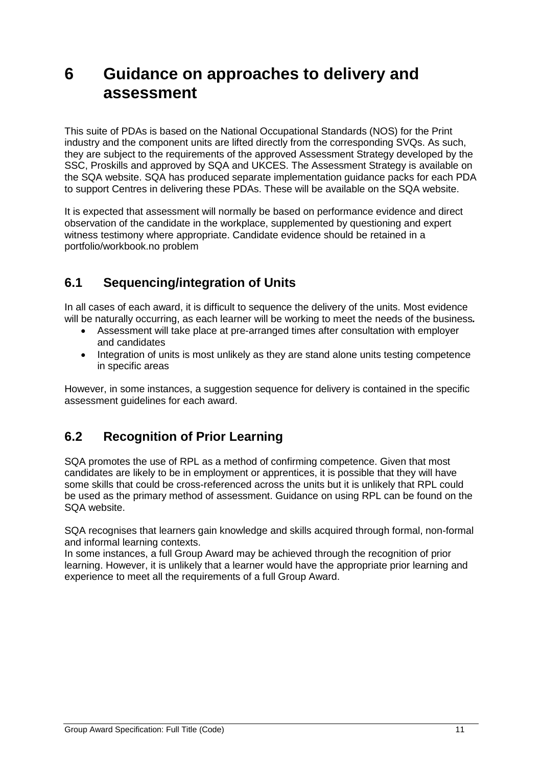## **6 Guidance on approaches to delivery and assessment**

This suite of PDAs is based on the National Occupational Standards (NOS) for the Print industry and the component units are lifted directly from the corresponding SVQs. As such, they are subject to the requirements of the approved Assessment Strategy developed by the SSC, Proskills and approved by SQA and UKCES. The Assessment Strategy is available on the SQA website. SQA has produced separate implementation guidance packs for each PDA to support Centres in delivering these PDAs. These will be available on the SQA website.

It is expected that assessment will normally be based on performance evidence and direct observation of the candidate in the workplace, supplemented by questioning and expert witness testimony where appropriate. Candidate evidence should be retained in a portfolio/workbook.no problem

## **6.1 Sequencing/integration of Units**

In all cases of each award, it is difficult to sequence the delivery of the units. Most evidence will be naturally occurring, as each learner will be working to meet the needs of the business*.* 

- Assessment will take place at pre-arranged times after consultation with employer and candidates
- Integration of units is most unlikely as they are stand alone units testing competence in specific areas

However, in some instances, a suggestion sequence for delivery is contained in the specific assessment guidelines for each award.

## **6.2 Recognition of Prior Learning**

SQA promotes the use of RPL as a method of confirming competence. Given that most candidates are likely to be in employment or apprentices, it is possible that they will have some skills that could be cross-referenced across the units but it is unlikely that RPL could be used as the primary method of assessment. Guidance on using RPL can be found on the SQA website.

SQA recognises that learners gain knowledge and skills acquired through formal, non-formal and informal learning contexts.

In some instances, a full Group Award may be achieved through the recognition of prior learning. However, it is unlikely that a learner would have the appropriate prior learning and experience to meet all the requirements of a full Group Award.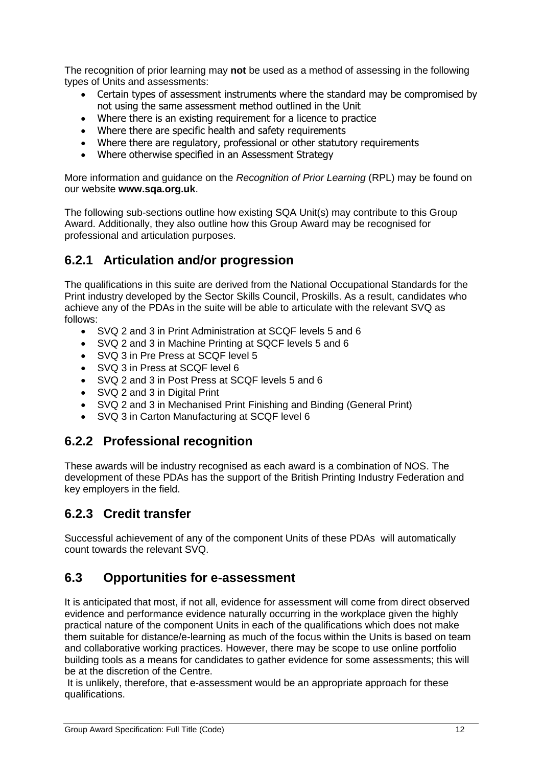The recognition of prior learning may **not** be used as a method of assessing in the following types of Units and assessments:

- Certain types of assessment instruments where the standard may be compromised by not using the same assessment method outlined in the Unit
- Where there is an existing requirement for a licence to practice
- Where there are specific health and safety requirements
- Where there are regulatory, professional or other statutory requirements
- Where otherwise specified in an Assessment Strategy

More information and guidance on the *Recognition of Prior Learning* (RPL) may be found on our website **www.sqa.org.uk**.

The following sub-sections outline how existing SQA Unit(s) may contribute to this Group Award. Additionally, they also outline how this Group Award may be recognised for professional and articulation purposes.

### **6.2.1 Articulation and/or progression**

The qualifications in this suite are derived from the National Occupational Standards for the Print industry developed by the Sector Skills Council, Proskills. As a result, candidates who achieve any of the PDAs in the suite will be able to articulate with the relevant SVQ as follows:

- SVQ 2 and 3 in Print Administration at SCQF levels 5 and 6
- SVQ 2 and 3 in Machine Printing at SQCF levels 5 and 6
- SVQ 3 in Pre Press at SCQF level 5
- SVQ 3 in Press at SCQF level 6
- SVQ 2 and 3 in Post Press at SCQF levels 5 and 6
- SVQ 2 and 3 in Digital Print
- SVQ 2 and 3 in Mechanised Print Finishing and Binding (General Print)
- SVQ 3 in Carton Manufacturing at SCQF level 6

### **6.2.2 Professional recognition**

These awards will be industry recognised as each award is a combination of NOS. The development of these PDAs has the support of the British Printing Industry Federation and key employers in the field.

### **6.2.3 Credit transfer**

Successful achievement of any of the component Units of these PDAs will automatically count towards the relevant SVQ.

### **6.3 Opportunities for e-assessment**

It is anticipated that most, if not all, evidence for assessment will come from direct observed evidence and performance evidence naturally occurring in the workplace given the highly practical nature of the component Units in each of the qualifications which does not make them suitable for distance/e-learning as much of the focus within the Units is based on team and collaborative working practices. However, there may be scope to use online portfolio building tools as a means for candidates to gather evidence for some assessments; this will be at the discretion of the Centre.

It is unlikely, therefore, that e-assessment would be an appropriate approach for these qualifications.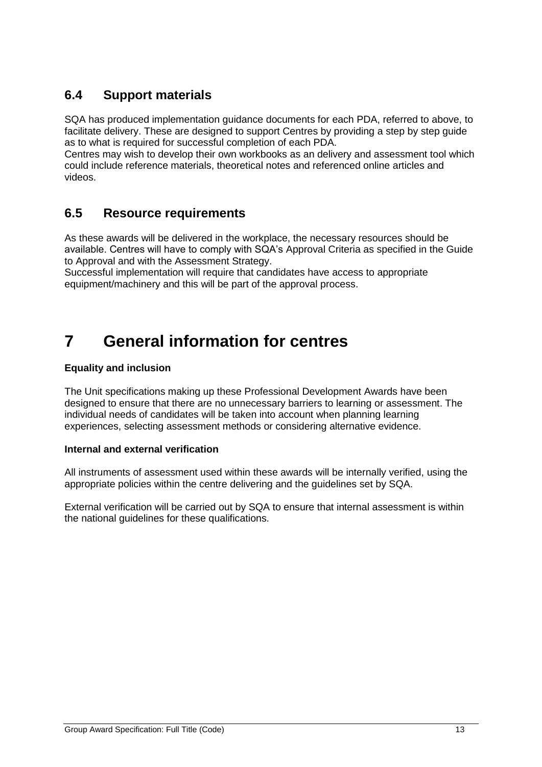## **6.4 Support materials**

SQA has produced implementation guidance documents for each PDA, referred to above, to facilitate delivery. These are designed to support Centres by providing a step by step guide as to what is required for successful completion of each PDA.

Centres may wish to develop their own workbooks as an delivery and assessment tool which could include reference materials, theoretical notes and referenced online articles and videos.

### **6.5 Resource requirements**

As these awards will be delivered in the workplace, the necessary resources should be available. Centres will have to comply with SQA's Approval Criteria as specified in the Guide to Approval and with the Assessment Strategy.

Successful implementation will require that candidates have access to appropriate equipment/machinery and this will be part of the approval process.

## **7 General information for centres**

#### **Equality and inclusion**

The Unit specifications making up these Professional Development Awards have been designed to ensure that there are no unnecessary barriers to learning or assessment. The individual needs of candidates will be taken into account when planning learning experiences, selecting assessment methods or considering alternative evidence.

#### **Internal and external verification**

All instruments of assessment used within these awards will be internally verified, using the appropriate policies within the centre delivering and the guidelines set by SQA.

External verification will be carried out by SQA to ensure that internal assessment is within the national guidelines for these qualifications.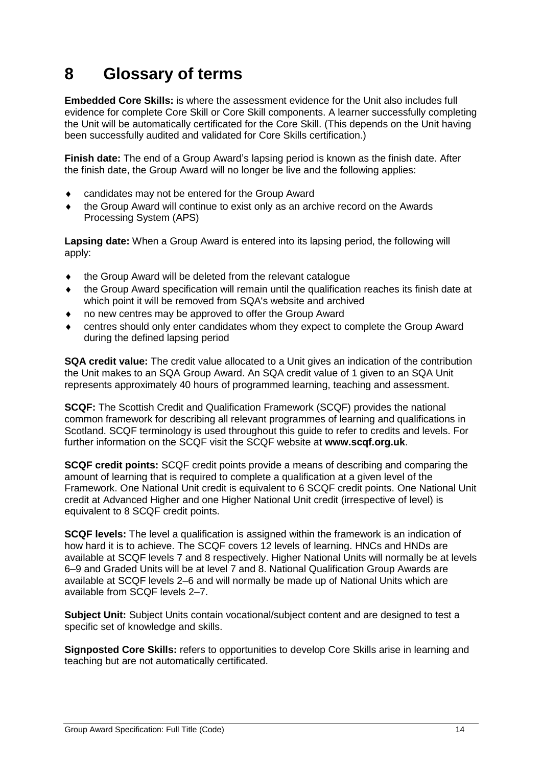## **8 Glossary of terms**

**Embedded Core Skills:** is where the assessment evidence for the Unit also includes full evidence for complete Core Skill or Core Skill components. A learner successfully completing the Unit will be automatically certificated for the Core Skill. (This depends on the Unit having been successfully audited and validated for Core Skills certification.)

**Finish date:** The end of a Group Award's lapsing period is known as the finish date. After the finish date, the Group Award will no longer be live and the following applies:

- candidates may not be entered for the Group Award
- the Group Award will continue to exist only as an archive record on the Awards Processing System (APS)

**Lapsing date:** When a Group Award is entered into its lapsing period, the following will apply:

- the Group Award will be deleted from the relevant catalogue
- the Group Award specification will remain until the qualification reaches its finish date at which point it will be removed from SQA's website and archived
- no new centres may be approved to offer the Group Award
- centres should only enter candidates whom they expect to complete the Group Award during the defined lapsing period

**SQA credit value:** The credit value allocated to a Unit gives an indication of the contribution the Unit makes to an SQA Group Award. An SQA credit value of 1 given to an SQA Unit represents approximately 40 hours of programmed learning, teaching and assessment.

**SCQF:** The Scottish Credit and Qualification Framework (SCQF) provides the national common framework for describing all relevant programmes of learning and qualifications in Scotland. SCQF terminology is used throughout this guide to refer to credits and levels. For further information on the SCQF visit the SCQF website at **[www.scqf.org.uk](http://www.scqf.org.uk/)**.

**SCQF credit points:** SCQF credit points provide a means of describing and comparing the amount of learning that is required to complete a qualification at a given level of the Framework. One National Unit credit is equivalent to 6 SCQF credit points. One National Unit credit at Advanced Higher and one Higher National Unit credit (irrespective of level) is equivalent to 8 SCQF credit points.

**SCQF levels:** The level a qualification is assigned within the framework is an indication of how hard it is to achieve. The SCQF covers 12 levels of learning. HNCs and HNDs are available at SCQF levels 7 and 8 respectively. Higher National Units will normally be at levels 6–9 and Graded Units will be at level 7 and 8. National Qualification Group Awards are available at SCQF levels 2–6 and will normally be made up of National Units which are available from SCQF levels 2–7.

**Subject Unit:** Subject Units contain vocational/subject content and are designed to test a specific set of knowledge and skills.

**Signposted Core Skills:** refers to opportunities to develop Core Skills arise in learning and teaching but are not automatically certificated.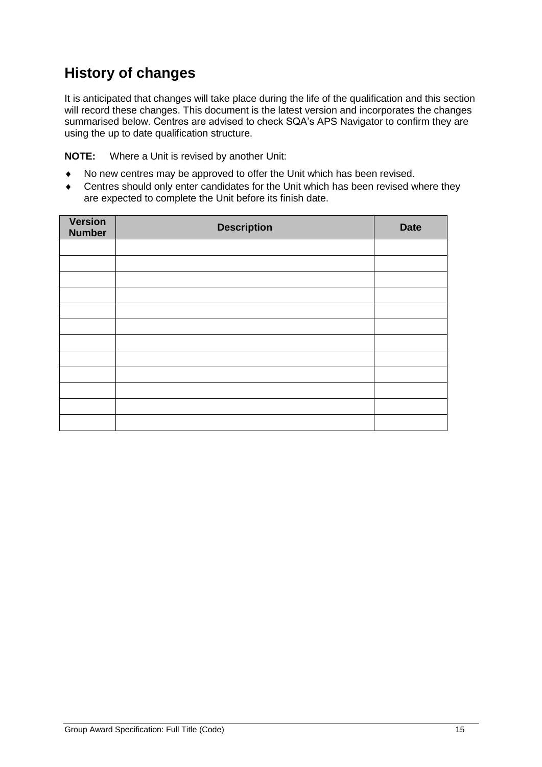## **History of changes**

It is anticipated that changes will take place during the life of the qualification and this section will record these changes. This document is the latest version and incorporates the changes summarised below. Centres are advised to check SQA's APS Navigator to confirm they are using the up to date qualification structure.

**NOTE:** Where a Unit is revised by another Unit:

- No new centres may be approved to offer the Unit which has been revised.
- Centres should only enter candidates for the Unit which has been revised where they are expected to complete the Unit before its finish date.

| <b>Version</b><br><b>Number</b> | <b>Description</b> | <b>Date</b> |
|---------------------------------|--------------------|-------------|
|                                 |                    |             |
|                                 |                    |             |
|                                 |                    |             |
|                                 |                    |             |
|                                 |                    |             |
|                                 |                    |             |
|                                 |                    |             |
|                                 |                    |             |
|                                 |                    |             |
|                                 |                    |             |
|                                 |                    |             |
|                                 |                    |             |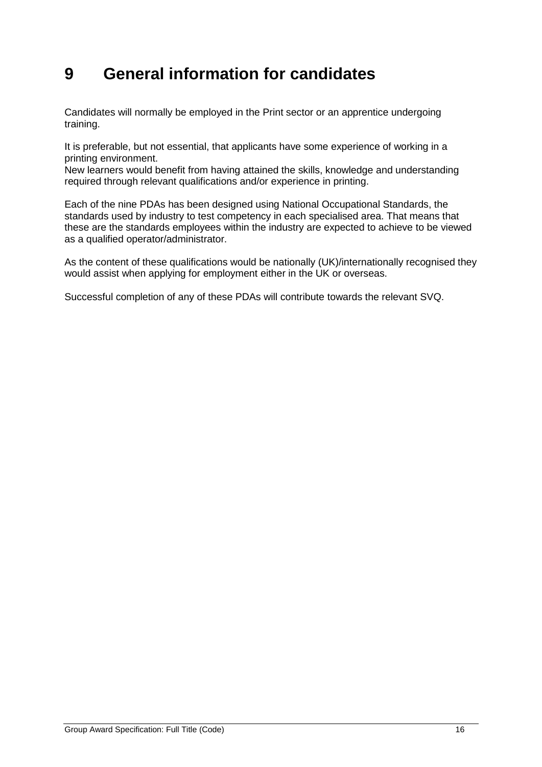## **9 General information for candidates**

Candidates will normally be employed in the Print sector or an apprentice undergoing training.

It is preferable, but not essential, that applicants have some experience of working in a printing environment.

New learners would benefit from having attained the skills, knowledge and understanding required through relevant qualifications and/or experience in printing.

Each of the nine PDAs has been designed using National Occupational Standards, the standards used by industry to test competency in each specialised area. That means that these are the standards employees within the industry are expected to achieve to be viewed as a qualified operator/administrator.

As the content of these qualifications would be nationally (UK)/internationally recognised they would assist when applying for employment either in the UK or overseas.

Successful completion of any of these PDAs will contribute towards the relevant SVQ.